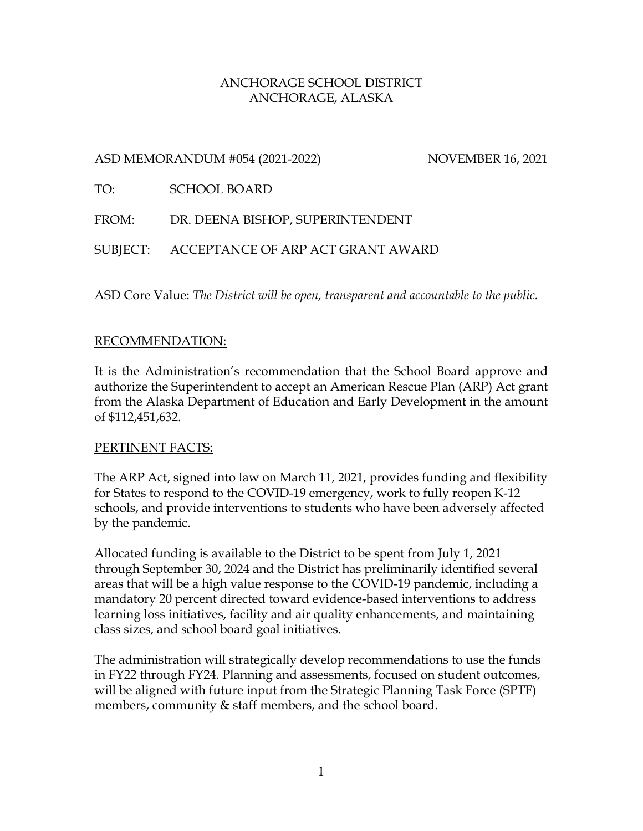### ANCHORAGE SCHOOL DISTRICT ANCHORAGE, ALASKA

# ASD MEMORANDUM #054 (2021-2022) NOVEMBER 16, 2021

TO: SCHOOL BOARD

FROM: DR. DEENA BISHOP, SUPERINTENDENT

SUBJECT: ACCEPTANCE OF ARP ACT GRANT AWARD

ASD Core Value: *The District will be open, transparent and accountable to the public.*

# RECOMMENDATION:

It is the Administration's recommendation that the School Board approve and authorize the Superintendent to accept an American Rescue Plan (ARP) Act grant from the Alaska Department of Education and Early Development in the amount of \$112,451,632.

# <u>PERTINENT FACTS:</u>

The ARP Act, signed into law on March 11, 2021, provides funding and flexibility for States to respond to the COVID-19 emergency, work to fully reopen K-12 schools, and provide interventions to students who have been adversely affected by the pandemic.

Allocated funding is available to the District to be spent from July 1, 2021 through September 30, 2024 and the District has preliminarily identified several areas that will be a high value response to the COVID-19 pandemic, including a mandatory 20 percent directed toward evidence-based interventions to address learning loss initiatives, facility and air quality enhancements, and maintaining class sizes, and school board goal initiatives.

The administration will strategically develop recommendations to use the funds in FY22 through FY24. Planning and assessments, focused on student outcomes, will be aligned with future input from the Strategic Planning Task Force (SPTF) members, community & staff members, and the school board.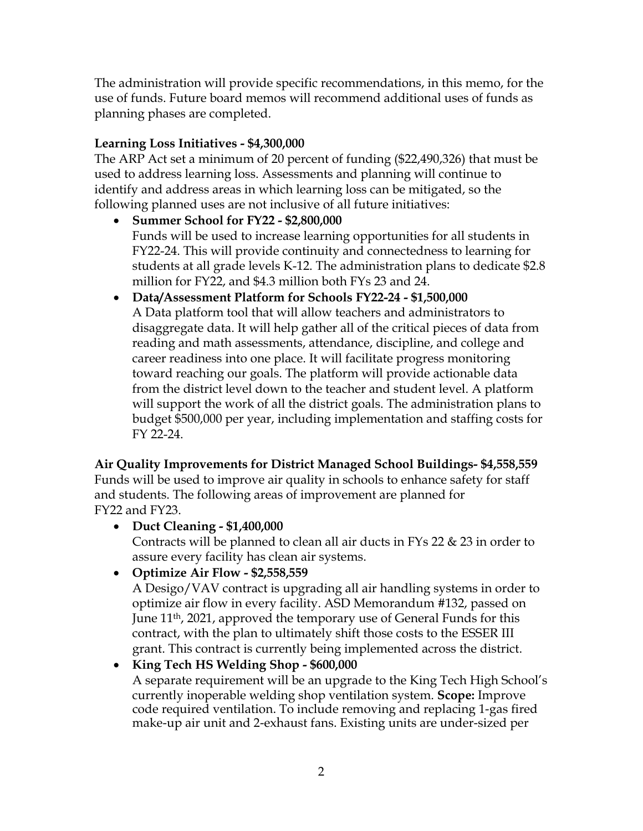The administration will provide specific recommendations, in this memo, for the use of funds. Future board memos will recommend additional uses of funds as planning phases are completed.

# **Learning Loss Initiatives - \$4,300,000**

The ARP Act set a minimum of 20 percent of funding (\$22,490,326) that must be used to address learning loss. Assessments and planning will continue to identify and address areas in which learning loss can be mitigated, so the following planned uses are not inclusive of all future initiatives:

- **Summer School for FY22 - \$2,800,000** Funds will be used to increase learning opportunities for all students in FY22-24. This will provide continuity and connectedness to learning for students at all grade levels K-12. The administration plans to dedicate \$2.8 million for FY22, and \$4.3 million both FYs 23 and 24.
- **Data/Assessment Platform for Schools FY22-24 - \$1,500,000** A Data platform tool that will allow teachers and administrators to disaggregate data. It will help gather all of the critical pieces of data from reading and math assessments, attendance, discipline, and college and career readiness into one place. It will facilitate progress monitoring toward reaching our goals. The platform will provide actionable data from the district level down to the teacher and student level. A platform will support the work of all the district goals. The administration plans to budget \$500,000 per year, including implementation and staffing costs for FY 22-24.

**Air Quality Improvements for District Managed School Buildings- \$4,558,559** Funds will be used to improve air quality in schools to enhance safety for staff and students. The following areas of improvement are planned for FY22 and FY23.

# • **Duct Cleaning - \$1,400,000**

Contracts will be planned to clean all air ducts in FYs 22 & 23 in order to assure every facility has clean air systems.

• **Optimize Air Flow - \$2,558,559**

A Desigo/VAV contract is upgrading all air handling systems in order to optimize air flow in every facility. ASD Memorandum #132, passed on June 11th, 2021, approved the temporary use of General Funds for this contract, with the plan to ultimately shift those costs to the ESSER III grant. This contract is currently being implemented across the district.

# • **King Tech HS Welding Shop - \$600,000**

A separate requirement will be an upgrade to the King Tech High School's currently inoperable welding shop ventilation system. **Scope:** Improve code required ventilation. To include removing and replacing 1-gas fired make-up air unit and 2-exhaust fans. Existing units are under-sized per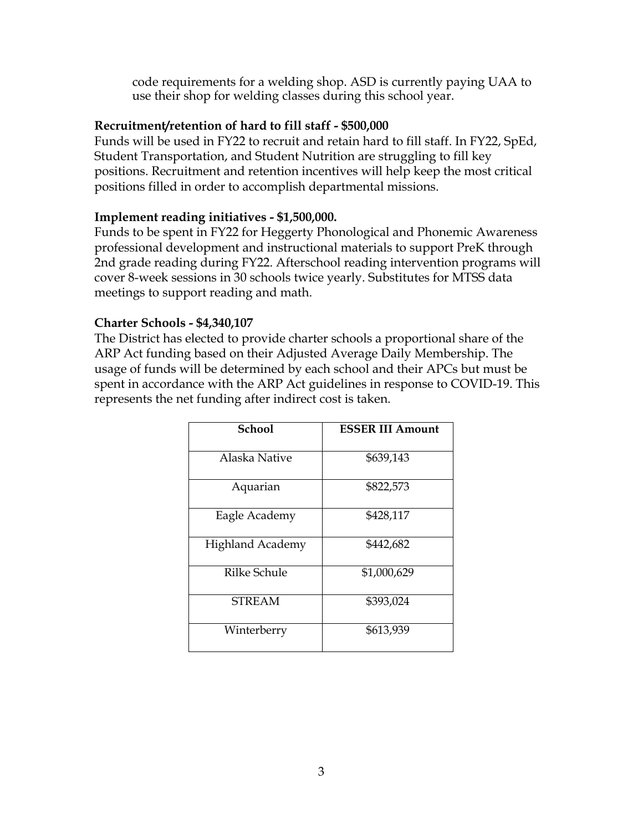code requirements for a welding shop. ASD is currently paying UAA to use their shop for welding classes during this school year.

### **Recruitment/retention of hard to fill staff - \$500,000**

Funds will be used in FY22 to recruit and retain hard to fill staff. In FY22, SpEd, Student Transportation, and Student Nutrition are struggling to fill key positions. Recruitment and retention incentives will help keep the most critical positions filled in order to accomplish departmental missions.

### **Implement reading initiatives - \$1,500,000.**

Funds to be spent in FY22 for Heggerty Phonological and Phonemic Awareness professional development and instructional materials to support PreK through 2nd grade reading during FY22. Afterschool reading intervention programs will cover 8-week sessions in 30 schools twice yearly. Substitutes for MTSS data meetings to support reading and math.

### **Charter Schools - \$4,340,107**

The District has elected to provide charter schools a proportional share of the ARP Act funding based on their Adjusted Average Daily Membership. The usage of funds will be determined by each school and their APCs but must be spent in accordance with the ARP Act guidelines in response to COVID-19. This represents the net funding after indirect cost is taken.

| <b>School</b>           | <b>ESSER III Amount</b> |
|-------------------------|-------------------------|
| Alaska Native           | \$639,143               |
| Aquarian                | \$822,573               |
| Eagle Academy           | \$428,117               |
| <b>Highland Academy</b> | \$442,682               |
| <b>Rilke Schule</b>     | \$1,000,629             |
| <b>STREAM</b>           | \$393,024               |
| Winterberry             | \$613,939               |